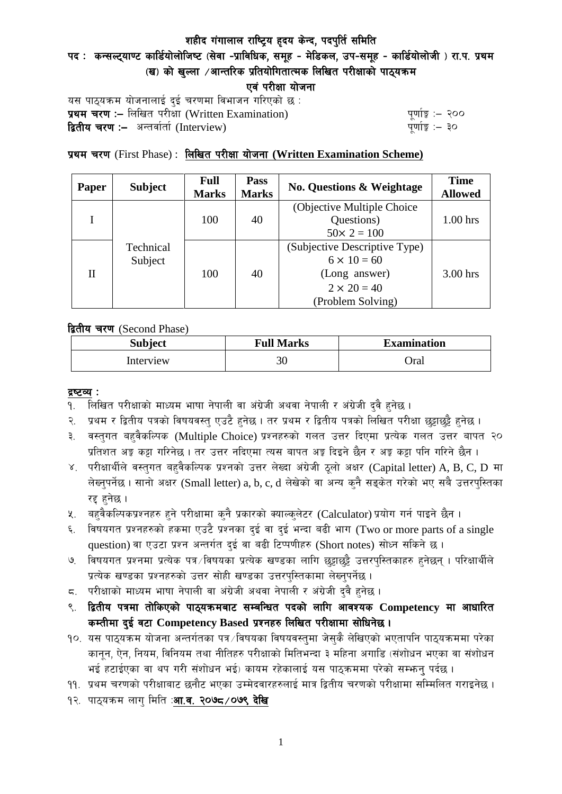# पद: कन्सल्ट्याण्ट कार्डियोलोजिष्ट (सेवा -प्राविधिक, समूह - मेडिकल, उप-समूह - कार्डियोलोजी) रा.प. प्रथम  $\mathbf{u}$ ) को खल्ला  $\mathbf{v}$ आन्तरिक प्रतियोगितात्मक लिखित परीक्षाको पाठ्यक्रम

एवं परीक्षा योजना

यस पाठ्यक्रम योजनालाई दुई चरणमा विभाजन गरिएको छ : प्रथम चरण :- लिखित परीसा (Written Examination)  $\frac{1}{2}$  while  $\frac{1}{2}$  and  $\frac{1}{2}$ **द्वितीय चरण :–** अन्तर्वार्ता (Interview) k and the set of the set of the set of the set of the set of the set o

## प्रथम चरण (First Phase) : लिखित परीक्षा योजना (Written Examination Scheme)

| Paper | <b>Subject</b>       | <b>Full</b><br><b>Marks</b> | Pass<br><b>Marks</b> | <b>No. Questions &amp; Weightage</b> | <b>Time</b><br><b>Allowed</b> |  |
|-------|----------------------|-----------------------------|----------------------|--------------------------------------|-------------------------------|--|
|       | Technical<br>Subject | 100                         | 40                   | (Objective Multiple Choice)          |                               |  |
|       |                      |                             |                      | Questions)                           | $1.00$ hrs                    |  |
|       |                      |                             |                      | $50 \times 2 = 100$                  |                               |  |
| H     |                      | 100                         | 40                   | (Subjective Descriptive Type)        |                               |  |
|       |                      |                             |                      | $6 \times 10 = 60$                   |                               |  |
|       |                      |                             |                      | (Long answer)                        | 3.00 hrs                      |  |
|       |                      |                             |                      | $2 \times 20 = 40$                   |                               |  |
|       |                      |                             |                      | (Problem Solving)                    |                               |  |

द्वितीय चरण (Second Phase)

| <b>Subject</b> | <b>Full Marks</b> | <b>Examination</b> |  |
|----------------|-------------------|--------------------|--|
| Interview      | 30                | )ral               |  |

#### द्रष्टव्य :

- १. लिखित परीक्षाको माध्यम भाषा नेपाली वा अंग्रेजी अथवा नेपाली र अंग्रेजी द्वै हुनेछ ।
- २. प्रथम र द्वितीय पत्रको विषयवस्त् एउटै हुनेछ । तर प्रथम र द्वितीय पत्रको लिखित परीक्षा छुट्टाछुट्टै हुनेछ ।
- ३. वस्तुगत बहुवैकल्पिक (Multiple Choice) प्रश्नहरुको गलत उत्तर दिएमा प्रत्येक गलत उत्तर बापत २० प्रतिशत अड़ू कट्टा गरिनेछ । तर उत्तर नदिएमा त्यस बापत अड़ू दिइने छैन र अड़ू कट्टा पनि गरिने छैन ।
- ४. परीक्षार्थीले वस्तुगत बहुवैकल्पिक प्रश्नको उत्तर लेख्दा अंग्रेजी ठूलो अक्षर (Capital letter) A, B, C, D मा लेख्नुपर्नेछ । सानो अक्षर (Small letter) a, b, c, d लेखेको वा अन्य कुनै सङ्केत गरेको भए सबै उत्तरपुस्तिका रद्द हनेछ ।
- ५. वहवैकल्पिकप्रश्नहरु हुने परीक्षामा कुनै प्रकारको क्याल्कुलेटर (Calculator) प्रयोग गर्न पाइने छैन ।
- ६. विषयगत प्रश्नहरुको हकमा एउटै प्रश्नका दुई वा दुई भन्दा बढी भाग (Two or more parts of a single question) वा एउटा प्रश्न अन्तर्गत दुई वा बढी टिप्पणीहरु (Short notes) सोध्न सकिने छ।
- ७. विषयगत प्रश्नमा प्रत्येक पत्र ∕विषयका प्रत्येक खण्डका लागि छट्टाछट्टै उत्तरपुस्तिकाहरु हुनेछन् । परिक्षार्थीले प्रत्येक खण्डका प्रश्नहरुको उत्तर सोही खण्डका उत्तरपस्तिकामा लेख्नपर्नेछ ।
- $\,$ द. परीक्षाको माध्यम भाषा नेपाली वा अंग्रेजी अथवा नेपाली र अंग्रेजी द्वै हुनेछ ।
- ९. द्वितीय पत्रमा तोकिएको पाठ्यक्रमबाट सम्बन्धित पदको लागि आवश्यक Competency मा आधारित कम्तीमा दई वटा Competency Based प्रश्नहरु लिखित परीक्षामा सोधिनेछ।
- १०. यस पाठ्यक्रम योजना अन्तर्गतका पत्र ∕विषयका विषयवस्त्**मा जेस्**कै लेखिएको भएतापनि पाठ्यक्रममा परेका कानून, ऐन, नियम, विनियम तथा नीतिहरु परीक्षाको मितिभन्दा ३ महिना अगाडि (संशोधन भएका वा संशोधन भई हटाईएका वा थप गरी संशोधन भई) कायम रहेकालाई यस पाठकममा परेको सम्भन्न पर्दछ ।
- ११. प्रथम चरणको परीक्षाबाट छनौट भएका उम्मेदवारहरुलाई मात्र द्वितीय चरणको परीक्षामा सम्मिलित गराइनेछ ।
- १२. पाठ्यक्रम लाग मिति :**आ.व. २०७८ ⁄ ०७९ देखि**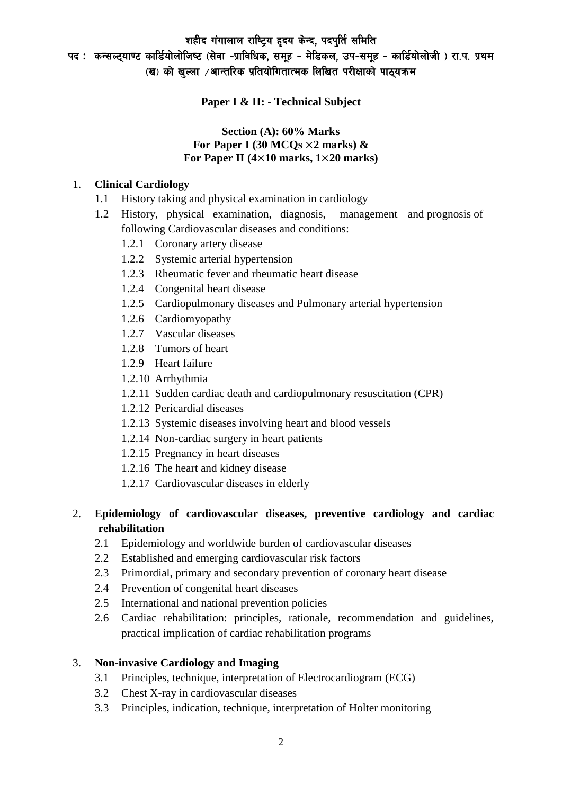पद: कन्सल्ट्याण्ट कार्डियोलोजिष्ट (सेवा -प्राविधिक, समूह - मेडिकल, उप-समूह - कार्डियोलोजी) रा.प. प्रथम (ख) को खल्ला ⁄आन्तरिक प्रतियोगितात्मक लिखित परीक्षाको पाठ्यक्रम

**Paper I & II: - Technical Subject**

### **Section (A): 60% Marks For Paper I (30 MCQs** ×**2 marks) & For Paper II (4**×**10 marks, 1**×**20 marks)**

#### 1. **Clinical Cardiology**

- 1.1 History taking and physical examination in cardiology
- 1.2 History, physical examination, diagnosis, management and prognosis of following Cardiovascular diseases and conditions:
	- 1.2.1 Coronary artery disease
	- 1.2.2 Systemic arterial hypertension
	- 1.2.3 Rheumatic fever and rheumatic heart disease
	- 1.2.4 Congenital heart disease
	- 1.2.5 Cardiopulmonary diseases and Pulmonary arterial hypertension
	- 1.2.6 Cardiomyopathy
	- 1.2.7 Vascular diseases
	- 1.2.8 Tumors of heart
	- 1.2.9 Heart failure
	- 1.2.10 Arrhythmia
	- 1.2.11 Sudden cardiac death and cardiopulmonary resuscitation (CPR)
	- 1.2.12 Pericardial diseases
	- 1.2.13 Systemic diseases involving heart and blood vessels
	- 1.2.14 Non-cardiac surgery in heart patients
	- 1.2.15 Pregnancy in heart diseases
	- 1.2.16 The heart and kidney disease
	- 1.2.17 Cardiovascular diseases in elderly

## 2. **Epidemiology of cardiovascular diseases, preventive cardiology and cardiac rehabilitation**

- 2.1 Epidemiology and worldwide burden of cardiovascular diseases
- 2.2 Established and emerging cardiovascular risk factors
- 2.3 Primordial, primary and secondary prevention of coronary heart disease
- 2.4 Prevention of congenital heart diseases
- 2.5 International and national prevention policies
- 2.6 Cardiac rehabilitation: principles, rationale, recommendation and guidelines, practical implication of cardiac rehabilitation programs

## 3. **Non-invasive Cardiology and Imaging**

- 3.1 Principles, technique, interpretation of Electrocardiogram (ECG)
- 3.2 Chest X-ray in cardiovascular diseases
- 3.3 Principles, indication, technique, interpretation of Holter monitoring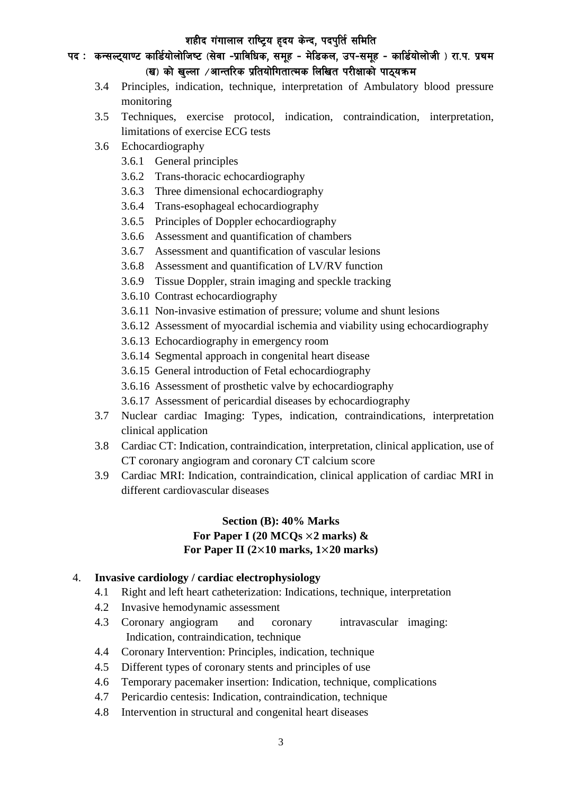## पद: कन्सल्ट्याण्ट कार्डियोलोजिष्ट (सेवा -प्राविधिक, समूह - मेडिकल, उप-समूह - कार्डियोलोजी) रा.प. प्रथम  $\mathbf{u}$ ) को खल्ला  $\mathbf{v}$ आन्तरिक प्रतियोगितात्मक लिखित परीक्षाको पाठ्यक्रम

- 3.4 Principles, indication, technique, interpretation of Ambulatory blood pressure monitoring
- 3.5 Techniques, exercise protocol, indication, contraindication, interpretation, limitations of exercise ECG tests
- 3.6 Echocardiography
	- 3.6.1 General principles
	- 3.6.2 Trans-thoracic echocardiography
	- 3.6.3 Three dimensional echocardiography
	- 3.6.4 Trans-esophageal echocardiography
	- 3.6.5 Principles of Doppler echocardiography
	- 3.6.6 Assessment and quantification of chambers
	- 3.6.7 Assessment and quantification of vascular lesions
	- 3.6.8 Assessment and quantification of LV/RV function
	- 3.6.9 Tissue Doppler, strain imaging and speckle tracking
	- 3.6.10 Contrast echocardiography
	- 3.6.11 Non-invasive estimation of pressure; volume and shunt lesions
	- 3.6.12 Assessment of myocardial ischemia and viability using echocardiography
	- 3.6.13 Echocardiography in emergency room
	- 3.6.14 Segmental approach in congenital heart disease
	- 3.6.15 General introduction of Fetal echocardiography
	- 3.6.16 Assessment of prosthetic valve by echocardiography
	- 3.6.17 Assessment of pericardial diseases by echocardiography
- 3.7 Nuclear cardiac Imaging: Types, indication, contraindications, interpretation clinical application
- 3.8 Cardiac CT: Indication, contraindication, interpretation, clinical application, use of CT coronary angiogram and coronary CT calcium score
- 3.9 Cardiac MRI: Indication, contraindication, clinical application of cardiac MRI in different cardiovascular diseases

## **Section (B): 40% Marks For Paper I (20 MCQs** ×**2 marks) & For Paper II (2**×**10 marks, 1**×**20 marks)**

#### 4. **Invasive cardiology / cardiac electrophysiology**

- 4.1 Right and left heart catheterization: Indications, technique, interpretation
- 4.2 Invasive hemodynamic assessment
- 4.3 Coronary angiogram and coronary intravascular imaging: Indication, contraindication, technique
- 4.4 Coronary Intervention: Principles, indication, technique
- 4.5 Different types of coronary stents and principles of use
- 4.6 Temporary pacemaker insertion: Indication, technique, complications
- 4.7 Pericardio centesis: Indication, contraindication, technique
- 4.8 Intervention in structural and congenital heart diseases